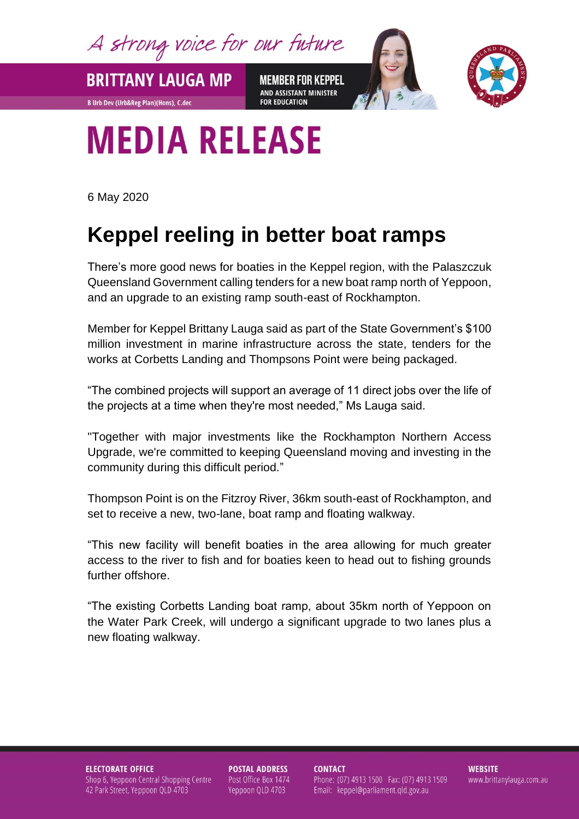A strong voice for our future

**MEMBER FOR KEPPEL** AND ASSISTANT MINISTER **FOR EDUCATION** 



## **MEDIA RELEASE**

**BRITTANY LAUGA MP** 

**B Urb Dev (Urb&Reg Plan)(Hons), C.dec** 

6 May 2020

## **Keppel reeling in better boat ramps**

There's more good news for boaties in the Keppel region, with the Palaszczuk Queensland Government calling tenders for a new boat ramp north of Yeppoon, and an upgrade to an existing ramp south-east of Rockhampton.

Member for Keppel Brittany Lauga said as part of the State Government's \$100 million investment in marine infrastructure across the state, tenders for the works at Corbetts Landing and Thompsons Point were being packaged.

"The combined projects will support an average of 11 direct jobs over the life of the projects at a time when they're most needed," Ms Lauga said.

''Together with major investments like the Rockhampton Northern Access Upgrade, we're committed to keeping Queensland moving and investing in the community during this difficult period."

Thompson Point is on the Fitzroy River, 36km south-east of Rockhampton, and set to receive a new, two-lane, boat ramp and floating walkway.

"This new facility will benefit boaties in the area allowing for much greater access to the river to fish and for boaties keen to head out to fishing grounds further offshore.

"The existing Corbetts Landing boat ramp, about 35km north of Yeppoon on the Water Park Creek, will undergo a significant upgrade to two lanes plus a new floating walkway.

**ELECTORATE OFFICE** Shop 6, Yeppoon Central Shopping Centre 42 Park Street, Yeppoon QLD 4703

**POSTAL ADDRESS** Post Office Box 1474 Yeppoon QLD 4703

**CONTACT** Phone: (07) 4913 1500 Fax: (07) 4913 1509 Email: keppel@parliament.qld.gov.au

**WEBSITE** www.brittanylauga.com.au